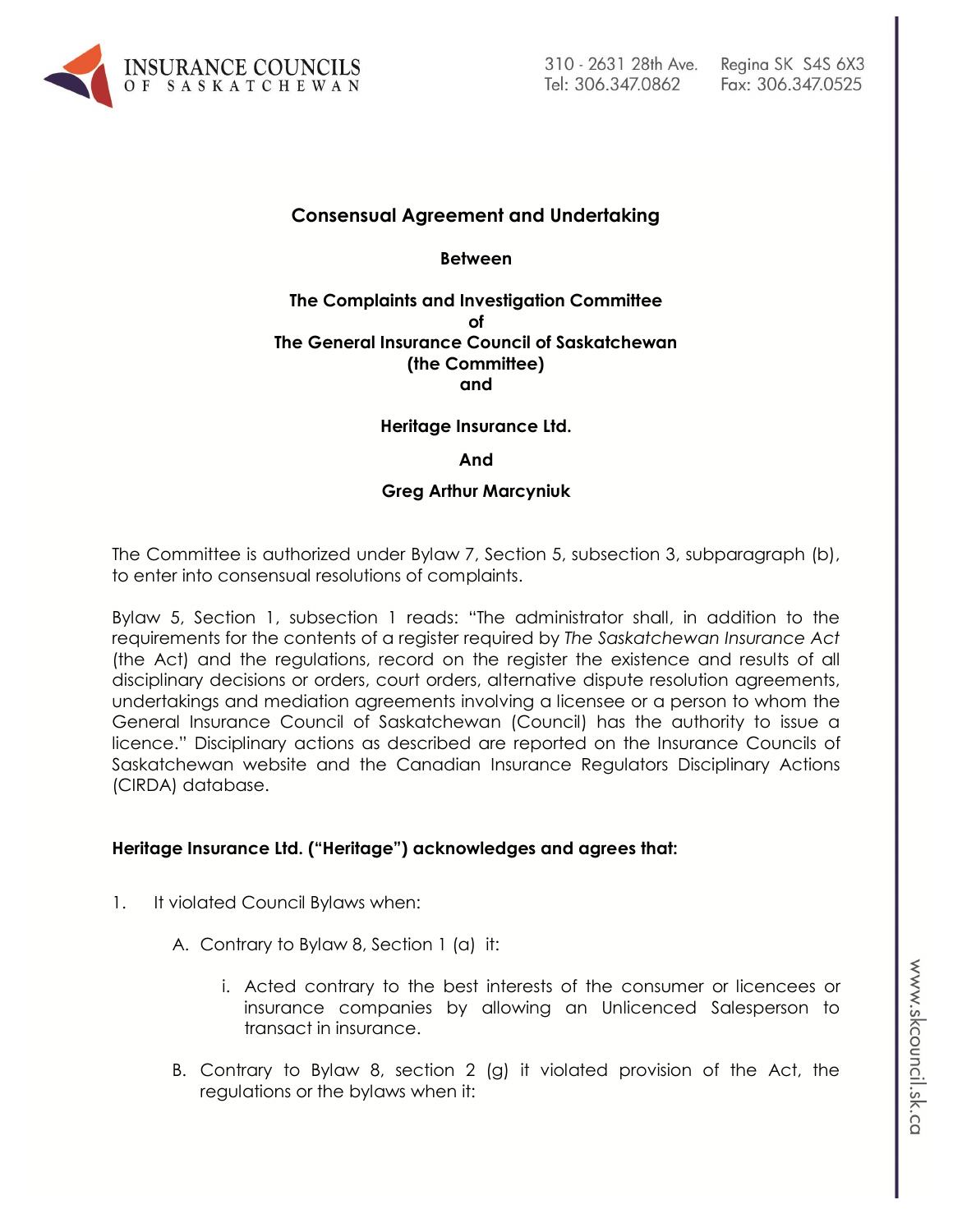

# **Consensual Agreement and Undertaking**

**Between**

### **The Complaints and Investigation Committee of The General Insurance Council of Saskatchewan (the Committee) and**

## **Heritage Insurance Ltd.**

#### **And**

## **Greg Arthur Marcyniuk**

The Committee is authorized under Bylaw 7, Section 5, subsection 3, subparagraph (b), to enter into consensual resolutions of complaints.

Bylaw 5, Section 1, subsection 1 reads: "The administrator shall, in addition to the requirements for the contents of a register required by *The Saskatchewan Insurance Act* (the Act) and the regulations, record on the register the existence and results of all disciplinary decisions or orders, court orders, alternative dispute resolution agreements, undertakings and mediation agreements involving a licensee or a person to whom the General Insurance Council of Saskatchewan (Council) has the authority to issue a licence." Disciplinary actions as described are reported on the Insurance Councils of Saskatchewan website and the Canadian Insurance Regulators Disciplinary Actions (CIRDA) database.

### **Heritage Insurance Ltd. ("Heritage") acknowledges and agrees that:**

- 1. It violated Council Bylaws when:
	- A. Contrary to Bylaw 8, Section 1 (a) it:
		- i. Acted contrary to the best interests of the consumer or licencees or insurance companies by allowing an Unlicenced Salesperson to transact in insurance.
	- B. Contrary to Bylaw 8, section 2 (g) it violated provision of the Act, the regulations or the bylaws when it: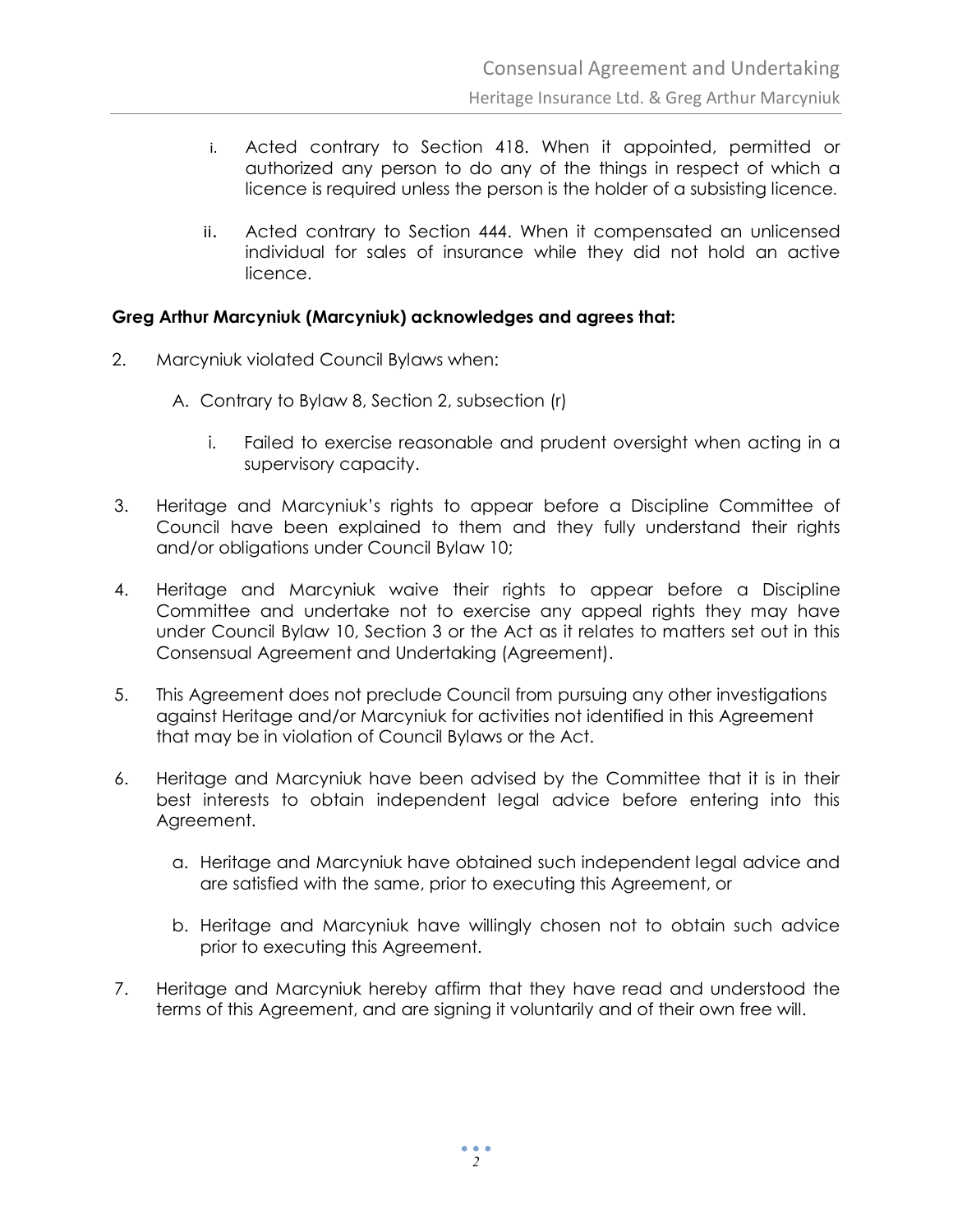- i. Acted contrary to Section 418. When it appointed, permitted or authorized any person to do any of the things in respect of which a licence is required unless the person is the holder of a subsisting licence.
- ii. Acted contrary to Section 444. When it compensated an unlicensed individual for sales of insurance while they did not hold an active licence.

## **Greg Arthur Marcyniuk (Marcyniuk) acknowledges and agrees that:**

- 2. Marcyniuk violated Council Bylaws when:
	- A. Contrary to Bylaw 8, Section 2, subsection (r)
		- i. Failed to exercise reasonable and prudent oversight when acting in a supervisory capacity.
- 3. Heritage and Marcyniuk's rights to appear before a Discipline Committee of Council have been explained to them and they fully understand their rights and/or obligations under Council Bylaw 10;
- 4. Heritage and Marcyniuk waive their rights to appear before a Discipline Committee and undertake not to exercise any appeal rights they may have under Council Bylaw 10, Section 3 or the Act as it relates to matters set out in this Consensual Agreement and Undertaking (Agreement).
- 5. This Agreement does not preclude Council from pursuing any other investigations against Heritage and/or Marcyniuk for activities not identified in this Agreement that may be in violation of Council Bylaws or the Act.
- 6. Heritage and Marcyniuk have been advised by the Committee that it is in their best interests to obtain independent legal advice before entering into this Agreement.
	- a. Heritage and Marcyniuk have obtained such independent legal advice and are satisfied with the same, prior to executing this Agreement, or
	- b. Heritage and Marcyniuk have willingly chosen not to obtain such advice prior to executing this Agreement.
- 7. Heritage and Marcyniuk hereby affirm that they have read and understood the terms of this Agreement, and are signing it voluntarily and of their own free will.